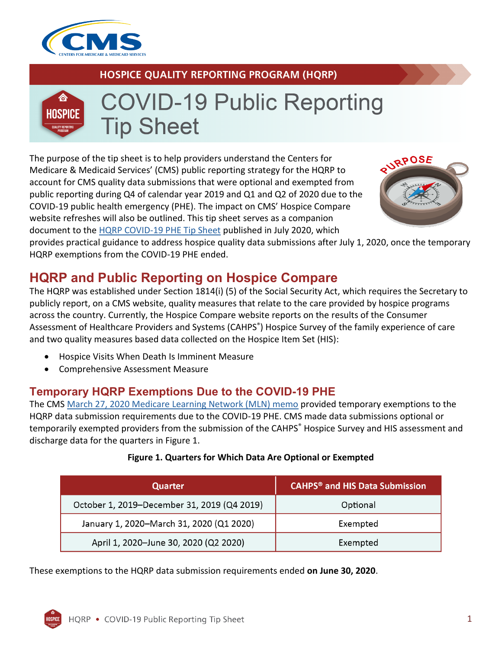

### **HOSPICE QUALITY REPORTING PROGRAM (HQRP)**

# **COVID-19 Public Reporting Tip Sheet**

The purpose of the tip sheet is to help providers understand the Centers for Medicare & Medicaid Services' (CMS) public reporting strategy for the HQRP to account for CMS quality data submissions that were optional and exempted from public reporting during Q4 of calendar year 2019 and Q1 and Q2 of 2020 due to the COVID-19 public health emergency (PHE). The impact on CMS' Hospice Compare website refreshes will also be outlined. This tip sheet serves as a companion document to the [HQRP COVID-19 PHE Tip Sheet](https://www.cms.gov/files/document/hqrpcovid-19-phetipsheetjuly-2020508-compliant.pdf) published in July 2020, which



provides practical guidance to address hospice quality data submissions after July 1, 2020, once the temporary HQRP exemptions from the COVID-19 PHE ended.

# **HQRP and Public Reporting on Hospice Compare**

The HQRP was established under Section 1814(i) (5) of the Social Security Act, which requires the Secretary to publicly report, on a CMS website, quality measures that relate to the care provided by hospice programs across the country. Currently, the Hospice Compare website reports on the results of the Consumer Assessment of Healthcare Providers and Systems (CAHPS<sup>®</sup>) Hospice Survey of the family experience of care and two quality measures based data collected on the Hospice Item Set (HIS):

- · Hospice Visits When Death Is Imminent Measure
- · Comprehensive Assessment Measure

### **Temporary HQRP Exemptions Due to the COVID-19 PHE**

The CMS [March 27, 2020 Medicare Learning Network \(MLN\) memo](https://www.cms.gov/files/document/guidance-memo-exceptions-and-extensions-quality-reporting-and-value-based-purchasing-programs.pdf) provided temporary exemptions to the HQRP data submission requirements due to the COVID-19 PHE. CMS made data submissions optional or temporarily exempted providers from the submission of the CAHPS<sup>®</sup> Hospice Survey and HIS assessment and discharge data for the quarters in Figure 1.

| Quarter                                     | <b>CAHPS<sup>®</sup> and HIS Data Submission</b> |  |  |
|---------------------------------------------|--------------------------------------------------|--|--|
| October 1, 2019-December 31, 2019 (Q4 2019) | Optional                                         |  |  |
| January 1, 2020-March 31, 2020 (Q1 2020)    | Exempted                                         |  |  |
| April 1, 2020-June 30, 2020 (Q2 2020)       | Exempted                                         |  |  |

#### **Figure 1. Quarters for Which Data Are Optional or Exempted**

These exemptions to the HQRP data submission requirements ended **on June 30, 2020**.

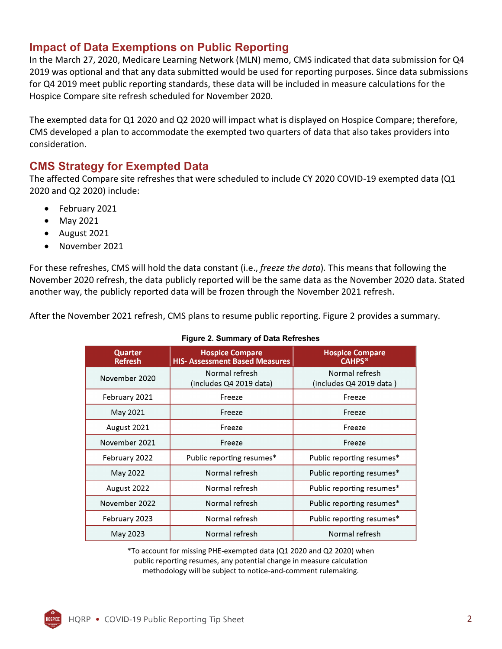### **Impact of Data Exemptions on Public Reporting**

In the March 27, 2020, Medicare Learning Network (MLN) memo, CMS indicated that data submission for Q4 2019 was optional and that any data submitted would be used for reporting purposes. Since data submissions for Q4 2019 meet public reporting standards, these data will be included in measure calculations for the Hospice Compare site refresh scheduled for November 2020.

The exempted data for Q1 2020 and Q2 2020 will impact what is displayed on Hospice Compare; therefore, CMS developed a plan to accommodate the exempted two quarters of data that also takes providers into consideration.

### **CMS Strategy for Exempted Data**

The affected Compare site refreshes that were scheduled to include CY 2020 COVID-19 exempted data (Q1 2020 and Q2 2020) include:

- · February 2021
- · May 2021
- · August 2021
- · November 2021

For these refreshes, CMS will hold the data constant (i.e., *freeze the data*)*.* This means that following the November 2020 refresh, the data publicly reported will be the same data as the November 2020 data. Stated another way, the publicly reported data will be frozen through the November 2021 refresh.

After the November 2021 refresh, CMS plans to resume public reporting. Figure 2 provides a summary.

| <b>Quarter</b><br><b>Refresh</b> | <b>Hospice Compare</b><br><b>HIS- Assessment Based Measures</b> | <b>Hospice Compare</b><br><b>CAHPS®</b>   |  |
|----------------------------------|-----------------------------------------------------------------|-------------------------------------------|--|
| November 2020                    | Normal refresh<br>(includes Q4 2019 data)                       | Normal refresh<br>(includes Q4 2019 data) |  |
| February 2021                    | Freeze                                                          | Freeze                                    |  |
| May 2021                         | Freeze                                                          | Freeze                                    |  |
| August 2021                      | Freeze                                                          | Freeze                                    |  |
| November 2021                    | Freeze                                                          | Freeze                                    |  |
| February 2022                    | Public reporting resumes*                                       | Public reporting resumes*                 |  |
| May 2022                         | Normal refresh                                                  | Public reporting resumes*                 |  |
| August 2022                      | Normal refresh                                                  | Public reporting resumes*                 |  |
| November 2022                    | Normal refresh                                                  | Public reporting resumes*                 |  |
| February 2023                    | Normal refresh                                                  | Public reporting resumes*                 |  |
| May 2023                         | Normal refresh                                                  | Normal refresh                            |  |

#### **Figure 2. Summary of Data Refreshes**

\*To account for missing PHE-exempted data (Q1 2020 and Q2 2020) when public reporting resumes, any potential change in measure calculation methodology will be subject to notice-and-comment rulemaking.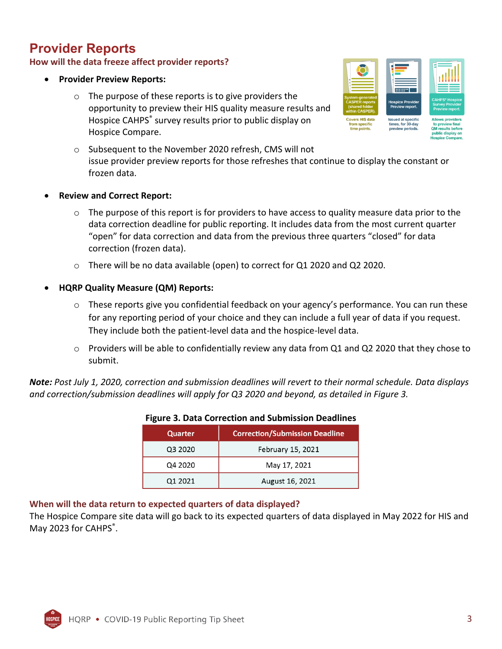# **Provider Reports**

#### **How will the data freeze affect provider reports?**

- · **Provider Preview Reports:** 
	- o The purpose of these reports is to give providers the opportunity to preview their HIS quality measure results and Hospice CAHPS<sup>®</sup> survey results prior to public display on Hospice Compare.
	- o Subsequent to the November 2020 refresh, CMS will not issue provider preview reports for those refreshes that continue to display the constant or frozen data.
- · **Review and Correct Report:** 
	- $\circ$  The purpose of this report is for providers to have access to quality measure data prior to the data correction deadline for public reporting. It includes data from the most current quarter "open" for data correction and data from the previous three quarters "closed" for data correction (frozen data).
	- o There will be no data available (open) to correct for Q1 2020 and Q2 2020.
- · **HQRP Quality Measure (QM) Reports:** 
	- $\circ$  These reports give you confidential feedback on your agency's performance. You can run these for any reporting period of your choice and they can include a full year of data if you request. They include both the patient-level data and the hospice-level data.
	- $\circ$  Providers will be able to confidentially review any data from Q1 and Q2 2020 that they chose to submit.

*Note: Post July 1, 2020, correction and submission deadlines will revert to their normal schedule. Data displays and correction/submission deadlines will apply for Q3 2020 and beyond, as detailed in Figure 3.*

| Figure 5. Data Correction and Submission Deadinies |                                       |  |  |  |
|----------------------------------------------------|---------------------------------------|--|--|--|
| <b>Quarter</b>                                     | <b>Correction/Submission Deadline</b> |  |  |  |
| Q3 2020                                            | February 15, 2021                     |  |  |  |
| Q4 2020                                            | May 17, 2021                          |  |  |  |
| Q1 2021                                            | August 16, 2021                       |  |  |  |

#### **Figure 3. Data Correction and Submission Deadlines**

#### **When will the data return to expected quarters of data displayed?**

The Hospice Compare site data will go back to its expected quarters of data displayed in May 2022 for HIS and May 2023 for CAHPS®.



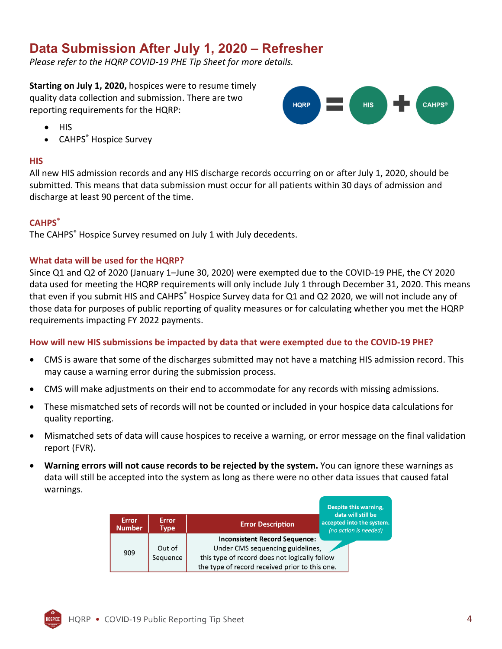# **Data Submission After July 1, 2020 – Refresher**

*Please refer to the HQRP COVID-19 PHE Tip Sheet for more details.*

**Starting on July 1, 2020,** hospices were to resume timely quality data collection and submission. There are two reporting requirements for the HQRP:



- · HIS
- CAHPS<sup>®</sup> Hospice Survey

#### **HIS**

All new HIS admission records and any HIS discharge records occurring on or after July 1, 2020, should be submitted. This means that data submission must occur for all patients within 30 days of admission and discharge at least 90 percent of the time.

#### **CAHPS®**

The CAHPS<sup>®</sup> Hospice Survey resumed on July 1 with July decedents.

#### **What data will be used for the HQRP?**

Since Q1 and Q2 of 2020 (January 1–June 30, 2020) were exempted due to the COVID-19 PHE, the CY 2020 data used for meeting the HQRP requirements will only include July 1 through December 31, 2020. This means that even if you submit HIS and CAHPS® Hospice Survey data for Q1 and Q2 2020, we will not include any of those data for purposes of public reporting of quality measures or for calculating whether you met the HQRP requirements impacting FY 2022 payments.

#### **How will new HIS submissions be impacted by data that were exempted due to the COVID-19 PHE?**

- · CMS is aware that some of the discharges submitted may not have a matching HIS admission record. This may cause a warning error during the submission process.
- · CMS will make adjustments on their end to accommodate for any records with missing admissions.
- · These mismatched sets of records will not be counted or included in your hospice data calculations for quality reporting.
- · Mismatched sets of data will cause hospices to receive a warning, or error message on the final validation report (FVR).
- · **Warning errors will not cause records to be rejected by the system.** You can ignore these warnings as data will still be accepted into the system as long as there were no other data issues that caused fatal warnings.

|                        |               | Despite this warning,<br>data will still be    |                                               |                                                    |
|------------------------|---------------|------------------------------------------------|-----------------------------------------------|----------------------------------------------------|
| Error<br><b>Number</b> | Error<br>Type | <b>Error Description</b>                       |                                               | accepted into the system.<br>(no action is needed) |
|                        |               | <b>Inconsistent Record Sequence:</b>           |                                               |                                                    |
| 909                    | Out of        | Under CMS sequencing guidelines,               |                                               |                                                    |
|                        | Sequence      |                                                | this type of record does not logically follow |                                                    |
|                        |               | the type of record received prior to this one. |                                               |                                                    |